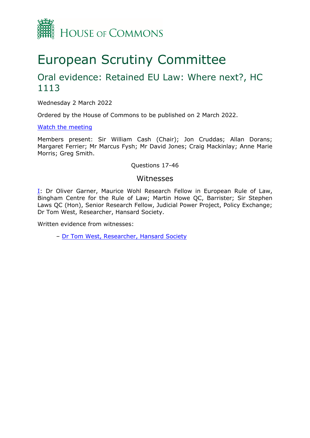

# European Scrutiny Committee

## Oral evidence: Retained EU Law: Where next?, HC 1113

Wednesday 2 March 2022

Ordered by the House of Commons to be published on 2 March 2022.

#### [Watch](https://www.parliamentlive.tv/Event/Index/3903c814-2968-4633-a429-6542bb423738) [the](https://www.parliamentlive.tv/Event/Index/3903c814-2968-4633-a429-6542bb423738) [meeting](https://www.parliamentlive.tv/Event/Index/3903c814-2968-4633-a429-6542bb423738)

Members present: Sir William Cash (Chair); Jon Cruddas; Allan Dorans; Margaret Ferrier; Mr Marcus Fysh; Mr David Jones; Craig Mackinlay; Anne Marie Morris; Greg Smith.

#### Questions 17-46

#### Witnesses

[I:](#page-1-0) Dr Oliver Garner, Maurice Wohl Research Fellow in European Rule of Law, Bingham Centre for the Rule of Law; Martin Howe QC, Barrister; Sir Stephen Laws QC (Hon), Senior Research Fellow, Judicial Power Project, Policy Exchange; Dr Tom West, Researcher, Hansard Society.

Written evidence from witnesses:

– [Dr](https://committees.parliament.uk/writtenevidence/106633/pdf/) [Tom](https://committees.parliament.uk/writtenevidence/106633/pdf/) [West,](https://committees.parliament.uk/writtenevidence/106633/pdf/) [Researcher,](https://committees.parliament.uk/writtenevidence/106633/pdf/) [Hansard](https://committees.parliament.uk/writtenevidence/106633/pdf/) [Society](https://committees.parliament.uk/writtenevidence/106633/pdf/)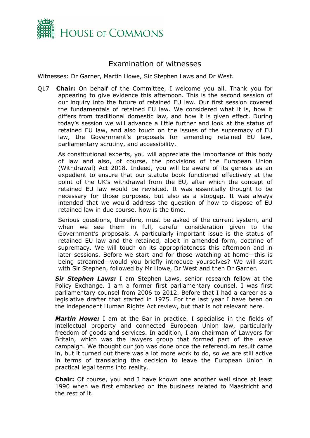

### <span id="page-1-0"></span>Examination of witnesses

Witnesses: Dr Garner, Martin Howe, Sir Stephen Laws and Dr West.

Q17 **Chair:** On behalf of the Committee, I welcome you all. Thank you for appearing to give evidence this afternoon. This is the second session of our inquiry into the future of retained EU law. Our first session covered the fundamentals of retained EU law. We considered what it is, how it differs from traditional domestic law, and how it is given effect. During today's session we will advance a little further and look at the status of retained EU law, and also touch on the issues of the supremacy of EU law, the Government's proposals for amending retained EU law, parliamentary scrutiny, and accessibility.

As constitutional experts, you will appreciate the importance of this body of law and also, of course, the provisions of the European Union (Withdrawal) Act 2018. Indeed, you will be aware of its genesis as an expedient to ensure that our statute book functioned effectively at the point of the UK's withdrawal from the EU, after which the concept of retained EU law would be revisited. It was essentially thought to be necessary for those purposes, but also as a stopgap. It was always intended that we would address the question of how to dispose of EU retained law in due course. Now is the time.

Serious questions, therefore, must be asked of the current system, and when we see them in full, careful consideration given to the Government's proposals. A particularly important issue is the status of retained EU law and the retained, albeit in amended form, doctrine of supremacy. We will touch on its appropriateness this afternoon and in later sessions. Before we start and for those watching at home—this is being streamed—would you briefly introduce yourselves? We will start with Sir Stephen, followed by Mr Howe, Dr West and then Dr Garner.

*Sir Stephen Laws:* I am Stephen Laws, senior research fellow at the Policy Exchange. I am a former first parliamentary counsel. I was first parliamentary counsel from 2006 to 2012. Before that I had a career as a legislative drafter that started in 1975. For the last year I have been on the independent Human Rights Act review, but that is not relevant here.

*Martin Howe:* I am at the Bar in practice. I specialise in the fields of intellectual property and connected European Union law, particularly freedom of goods and services. In addition, I am chairman of Lawyers for Britain, which was the lawyers group that formed part of the leave campaign. We thought our job was done once the referendum result came in, but it turned out there was a lot more work to do, so we are still active in terms of translating the decision to leave the European Union in practical legal terms into reality.

**Chair:** Of course, you and I have known one another well since at least 1990 when we first embarked on the business related to Maastricht and the rest of it.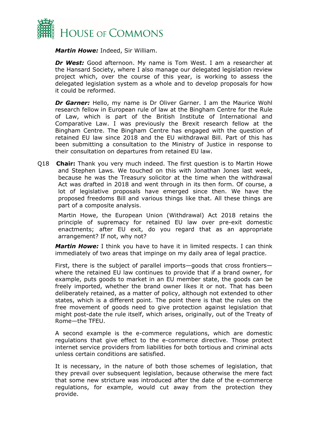

*Martin Howe:* Indeed, Sir William.

*Dr West:* Good afternoon. My name is Tom West. I am a researcher at the Hansard Society, where I also manage our delegated legislation review project which, over the course of this year, is working to assess the delegated legislation system as a whole and to develop proposals for how it could be reformed.

*Dr Garner:* Hello, my name is Dr Oliver Garner. I am the Maurice Wohl research fellow in European rule of law at the Bingham Centre for the Rule of Law, which is part of the British Institute of International and Comparative Law. I was previously the Brexit research fellow at the Bingham Centre. The Bingham Centre has engaged with the question of retained EU law since 2018 and the EU withdrawal Bill. Part of this has been submitting a consultation to the Ministry of Justice in response to their consultation on departures from retained EU law.

Q18 **Chair:** Thank you very much indeed. The first question is to Martin Howe and Stephen Laws. We touched on this with Jonathan Jones last week, because he was the Treasury solicitor at the time when the withdrawal Act was drafted in 2018 and went through in its then form. Of course, a lot of legislative proposals have emerged since then. We have the proposed freedoms Bill and various things like that. All these things are part of a composite analysis.

Martin Howe, the European Union (Withdrawal) Act 2018 retains the principle of supremacy for retained EU law over pre-exit domestic enactments; after EU exit, do you regard that as an appropriate arrangement? If not, why not?

*Martin Howe:* I think you have to have it in limited respects. I can think immediately of two areas that impinge on my daily area of legal practice.

First, there is the subject of parallel imports—goods that cross frontiers where the retained EU law continues to provide that if a brand owner, for example, puts goods to market in an EU member state, the goods can be freely imported, whether the brand owner likes it or not. That has been deliberately retained, as a matter of policy, although not extended to other states, which is a different point. The point there is that the rules on the free movement of goods need to give protection against legislation that might post-date the rule itself, which arises, originally, out of the Treaty of Rome—the TFEU.

A second example is the e-commerce regulations, which are domestic regulations that give effect to the e-commerce directive. Those protect internet service providers from liabilities for both tortious and criminal acts unless certain conditions are satisfied.

It is necessary, in the nature of both those schemes of legislation, that they prevail over subsequent legislation, because otherwise the mere fact that some new stricture was introduced after the date of the e-commerce regulations, for example, would cut away from the protection they provide.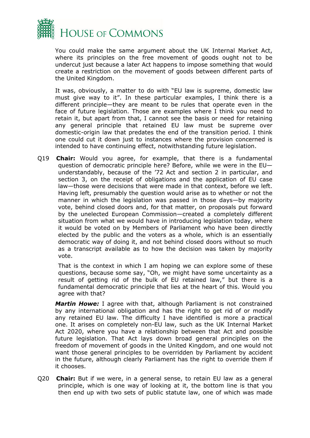

You could make the same argument about the UK Internal Market Act, where its principles on the free movement of goods ought not to be undercut just because a later Act happens to impose something that would create a restriction on the movement of goods between different parts of the United Kingdom.

It was, obviously, a matter to do with "EU law is supreme, domestic law must give way to it". In these particular examples, I think there is a different principle—they are meant to be rules that operate even in the face of future legislation. Those are examples where I think you need to retain it, but apart from that, I cannot see the basis or need for retaining any general principle that retained EU law must be supreme over domestic-origin law that predates the end of the transition period. I think one could cut it down just to instances where the provision concerned is intended to have continuing effect, notwithstanding future legislation.

Q19 **Chair:** Would you agree, for example, that there is a fundamental question of democratic principle here? Before, while we were in the EU understandably, because of the '72 Act and section 2 in particular, and section 3, on the receipt of obligations and the application of EU case law—those were decisions that were made in that context, before we left. Having left, presumably the question would arise as to whether or not the manner in which the legislation was passed in those days—by majority vote, behind closed doors and, for that matter, on proposals put forward by the unelected European Commission—created a completely different situation from what we would have in introducing legislation today, where it would be voted on by Members of Parliament who have been directly elected by the public and the voters as a whole, which is an essentially democratic way of doing it, and not behind closed doors without so much as a transcript available as to how the decision was taken by majority vote.

That is the context in which I am hoping we can explore some of these questions, because some say, "Oh, we might have some uncertainty as a result of getting rid of the bulk of EU retained law," but there is a fundamental democratic principle that lies at the heart of this. Would you agree with that?

*Martin Howe:* I agree with that, although Parliament is not constrained by any international obligation and has the right to get rid of or modify any retained EU law. The difficulty I have identified is more a practical one. It arises on completely non-EU law, such as the UK Internal Market Act 2020, where you have a relationship between that Act and possible future legislation. That Act lays down broad general principles on the freedom of movement of goods in the United Kingdom, and one would not want those general principles to be overridden by Parliament by accident in the future, although clearly Parliament has the right to override them if it chooses.

Q20 **Chair:** But if we were, in a general sense, to retain EU law as a general principle, which is one way of looking at it, the bottom line is that you then end up with two sets of public statute law, one of which was made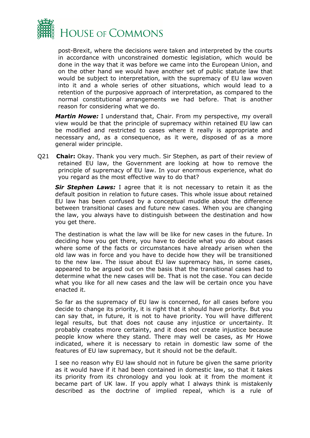

post-Brexit, where the decisions were taken and interpreted by the courts in accordance with unconstrained domestic legislation, which would be done in the way that it was before we came into the European Union, and on the other hand we would have another set of public statute law that would be subject to interpretation, with the supremacy of EU law woven into it and a whole series of other situations, which would lead to a retention of the purposive approach of interpretation, as compared to the normal constitutional arrangements we had before. That is another reason for considering what we do.

*Martin Howe:* I understand that, Chair. From my perspective, my overall view would be that the principle of supremacy within retained EU law can be modified and restricted to cases where it really is appropriate and necessary and, as a consequence, as it were, disposed of as a more general wider principle.

Q21 **Chair:** Okay. Thank you very much. Sir Stephen, as part of their review of retained EU law, the Government are looking at how to remove the principle of supremacy of EU law. In your enormous experience, what do you regard as the most effective way to do that?

*Sir Stephen Laws:* I agree that it is not necessary to retain it as the default position in relation to future cases. This whole issue about retained EU law has been confused by a conceptual muddle about the difference between transitional cases and future new cases. When you are changing the law, you always have to distinguish between the destination and how you get there.

The destination is what the law will be like for new cases in the future. In deciding how you get there, you have to decide what you do about cases where some of the facts or circumstances have already arisen when the old law was in force and you have to decide how they will be transitioned to the new law. The issue about EU law supremacy has, in some cases, appeared to be argued out on the basis that the transitional cases had to determine what the new cases will be. That is not the case. You can decide what you like for all new cases and the law will be certain once you have enacted it.

So far as the supremacy of EU law is concerned, for all cases before you decide to change its priority, it is right that it should have priority. But you can say that, in future, it is not to have priority. You will have different legal results, but that does not cause any injustice or uncertainty. It probably creates more certainty, and it does not create injustice because people know where they stand. There may well be cases, as Mr Howe indicated, where it is necessary to retain in domestic law some of the features of EU law supremacy, but it should not be the default.

I see no reason why EU law should not in future be given the same priority as it would have if it had been contained in domestic law, so that it takes its priority from its chronology and you look at it from the moment it became part of UK law. If you apply what I always think is mistakenly described as the doctrine of implied repeal, which is a rule of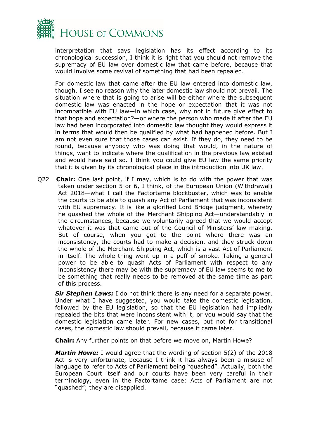

interpretation that says legislation has its effect according to its chronological succession, I think it is right that you should not remove the supremacy of EU law over domestic law that came before, because that would involve some revival of something that had been repealed.

For domestic law that came after the EU law entered into domestic law, though, I see no reason why the later domestic law should not prevail. The situation where that is going to arise will be either where the subsequent domestic law was enacted in the hope or expectation that it was not incompatible with EU law—in which case, why not in future give effect to that hope and expectation?—or where the person who made it after the EU law had been incorporated into domestic law thought they would express it in terms that would then be qualified by what had happened before. But I am not even sure that those cases can exist. If they do, they need to be found, because anybody who was doing that would, in the nature of things, want to indicate where the qualification in the previous law existed and would have said so. I think you could give EU law the same priority that it is given by its chronological place in the introduction into UK law.

Q22 **Chair:** One last point, if I may, which is to do with the power that was taken under section 5 or 6, I think, of the European Union (Withdrawal) Act 2018—what I call the Factortame blockbuster, which was to enable the courts to be able to quash any Act of Parliament that was inconsistent with EU supremacy. It is like a glorified Lord Bridge judgment, whereby he quashed the whole of the Merchant Shipping Act—understandably in the circumstances, because we voluntarily agreed that we would accept whatever it was that came out of the Council of Ministers' law making. But of course, when you got to the point where there was an inconsistency, the courts had to make a decision, and they struck down the whole of the Merchant Shipping Act, which is a vast Act of Parliament in itself. The whole thing went up in a puff of smoke. Taking a general power to be able to quash Acts of Parliament with respect to any inconsistency there may be with the supremacy of EU law seems to me to be something that really needs to be removed at the same time as part of this process.

*Sir Stephen Laws:* I do not think there is any need for a separate power. Under what I have suggested, you would take the domestic legislation, followed by the EU legislation, so that the EU legislation had impliedly repealed the bits that were inconsistent with it, or you would say that the domestic legislation came later. For new cases, but not for transitional cases, the domestic law should prevail, because it came later.

**Chair:** Any further points on that before we move on, Martin Howe?

*Martin Howe:* I would agree that the wording of section 5(2) of the 2018 Act is very unfortunate, because I think it has always been a misuse of language to refer to Acts of Parliament being "quashed". Actually, both the European Court itself and our courts have been very careful in their terminology, even in the Factortame case: Acts of Parliament are not "quashed"; they are disapplied.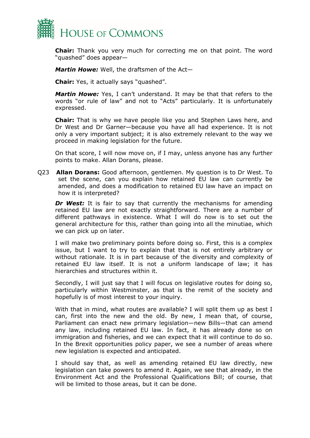

**Chair:** Thank you very much for correcting me on that point. The word "quashed" does appear—

*Martin Howe:* Well, the draftsmen of the Act—

**Chair:** Yes, it actually says "quashed".

*Martin Howe:* Yes, I can't understand. It may be that that refers to the words "or rule of law" and not to "Acts" particularly. It is unfortunately expressed.

**Chair:** That is why we have people like you and Stephen Laws here, and Dr West and Dr Garner—because you have all had experience. It is not only a very important subject; it is also extremely relevant to the way we proceed in making legislation for the future.

On that score, I will now move on, if I may, unless anyone has any further points to make. Allan Dorans, please.

Q23 **Allan Dorans:** Good afternoon, gentlemen. My question is to Dr West. To set the scene, can you explain how retained EU law can currently be amended, and does a modification to retained EU law have an impact on how it is interpreted?

**Dr West:** It is fair to say that currently the mechanisms for amending retained EU law are not exactly straightforward. There are a number of different pathways in existence. What I will do now is to set out the general architecture for this, rather than going into all the minutiae, which we can pick up on later.

I will make two preliminary points before doing so. First, this is a complex issue, but I want to try to explain that that is not entirely arbitrary or without rationale. It is in part because of the diversity and complexity of retained EU law itself. It is not a uniform landscape of law; it has hierarchies and structures within it.

Secondly, I will just say that I will focus on legislative routes for doing so, particularly within Westminster, as that is the remit of the society and hopefully is of most interest to your inquiry.

With that in mind, what routes are available? I will split them up as best I can, first into the new and the old. By new, I mean that, of course, Parliament can enact new primary legislation—new Bills—that can amend any law, including retained EU law. In fact, it has already done so on immigration and fisheries, and we can expect that it will continue to do so. In the Brexit opportunities policy paper, we see a number of areas where new legislation is expected and anticipated.

I should say that, as well as amending retained EU law directly, new legislation can take powers to amend it. Again, we see that already, in the Environment Act and the Professional Qualifications Bill; of course, that will be limited to those areas, but it can be done.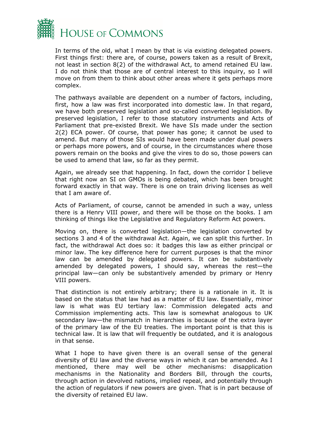

In terms of the old, what I mean by that is via existing delegated powers. First things first: there are, of course, powers taken as a result of Brexit, not least in section 8(2) of the withdrawal Act, to amend retained EU law. I do not think that those are of central interest to this inquiry, so I will move on from them to think about other areas where it gets perhaps more complex.

The pathways available are dependent on a number of factors, including, first, how a law was first incorporated into domestic law. In that regard, we have both preserved legislation and so-called converted legislation. By preserved legislation, I refer to those statutory instruments and Acts of Parliament that pre-existed Brexit. We have SIs made under the section 2(2) ECA power. Of course, that power has gone; it cannot be used to amend. But many of those SIs would have been made under dual powers or perhaps more powers, and of course, in the circumstances where those powers remain on the books and give the vires to do so, those powers can be used to amend that law, so far as they permit.

Again, we already see that happening. In fact, down the corridor I believe that right now an SI on GMOs is being debated, which has been brought forward exactly in that way. There is one on train driving licenses as well that I am aware of.

Acts of Parliament, of course, cannot be amended in such a way, unless there is a Henry VIII power, and there will be those on the books. I am thinking of things like the Legislative and Regulatory Reform Act powers.

Moving on, there is converted legislation—the legislation converted by sections 3 and 4 of the withdrawal Act. Again, we can split this further. In fact, the withdrawal Act does so: it badges this law as either principal or minor law. The key difference here for current purposes is that the minor law can be amended by delegated powers. It can be substantively amended by delegated powers, I should say, whereas the rest—the principal law—can only be substantively amended by primary or Henry VIII powers.

That distinction is not entirely arbitrary; there is a rationale in it. It is based on the status that law had as a matter of EU law. Essentially, minor law is what was EU tertiary law: Commission delegated acts and Commission implementing acts. This law is somewhat analogous to UK secondary law—the mismatch in hierarchies is because of the extra layer of the primary law of the EU treaties. The important point is that this is technical law. It is law that will frequently be outdated, and it is analogous in that sense.

What I hope to have given there is an overall sense of the general diversity of EU law and the diverse ways in which it can be amended. As I mentioned, there may well be other mechanisms: disapplication mechanisms in the Nationality and Borders Bill, through the courts, through action in devolved nations, implied repeal, and potentially through the action of regulators if new powers are given. That is in part because of the diversity of retained EU law.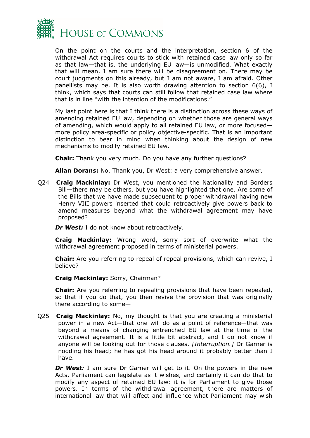

On the point on the courts and the interpretation, section 6 of the withdrawal Act requires courts to stick with retained case law only so far as that law—that is, the underlying EU law—is unmodified. What exactly that will mean, I am sure there will be disagreement on. There may be court judgments on this already, but I am not aware, I am afraid. Other panellists may be. It is also worth drawing attention to section 6(6), I think, which says that courts can still follow that retained case law where that is in line "with the intention of the modifications."

My last point here is that I think there is a distinction across these ways of amending retained EU law, depending on whether those are general ways of amending, which would apply to all retained EU law, or more focused more policy area-specific or policy objective-specific. That is an important distinction to bear in mind when thinking about the design of new mechanisms to modify retained EU law.

**Chair:** Thank you very much. Do you have any further questions?

**Allan Dorans:** No. Thank you, Dr West: a very comprehensive answer.

Q24 **Craig Mackinlay:** Dr West, you mentioned the Nationality and Borders Bill—there may be others, but you have highlighted that one. Are some of the Bills that we have made subsequent to proper withdrawal having new Henry VIII powers inserted that could retroactively give powers back to amend measures beyond what the withdrawal agreement may have proposed?

*Dr* West: I do not know about retroactively.

**Craig Mackinlay:** Wrong word, sorry—sort of overwrite what the withdrawal agreement proposed in terms of ministerial powers.

**Chair:** Are you referring to repeal of repeal provisions, which can revive, I believe?

**Craig Mackinlay:** Sorry, Chairman?

**Chair:** Are you referring to repealing provisions that have been repealed, so that if you do that, you then revive the provision that was originally there according to some—

Q25 **Craig Mackinlay:** No, my thought is that you are creating a ministerial power in a new Act—that one will do as a point of reference—that was beyond a means of changing entrenched EU law at the time of the withdrawal agreement. It is a little bit abstract, and I do not know if anyone will be looking out for those clauses. *[Interruption.]* Dr Garner is nodding his head; he has got his head around it probably better than I have.

**Dr West:** I am sure Dr Garner will get to it. On the powers in the new Acts, Parliament can legislate as it wishes, and certainly it can do that to modify any aspect of retained EU law: it is for Parliament to give those powers. In terms of the withdrawal agreement, there are matters of international law that will affect and influence what Parliament may wish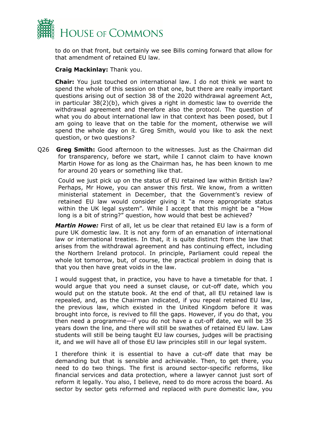

to do on that front, but certainly we see Bills coming forward that allow for that amendment of retained EU law.

#### **Craig Mackinlay:** Thank you.

**Chair:** You just touched on international law. I do not think we want to spend the whole of this session on that one, but there are really important questions arising out of section 38 of the 2020 withdrawal agreement Act, in particular 38(2)(b), which gives a right in domestic law to override the withdrawal agreement and therefore also the protocol. The question of what you do about international law in that context has been posed, but I am going to leave that on the table for the moment, otherwise we will spend the whole day on it. Greg Smith, would you like to ask the next question, or two questions?

Q26 **Greg Smith:** Good afternoon to the witnesses. Just as the Chairman did for transparency, before we start, while I cannot claim to have known Martin Howe for as long as the Chairman has, he has been known to me for around 20 years or something like that.

Could we just pick up on the status of EU retained law within British law? Perhaps, Mr Howe, you can answer this first. We know, from a written ministerial statement in December, that the Government's review of retained EU law would consider giving it "a more appropriate status within the UK legal system". While I accept that this might be a "How long is a bit of string?" question, how would that best be achieved?

*Martin Howe:* First of all, let us be clear that retained EU law is a form of pure UK domestic law. It is not any form of an emanation of international law or international treaties. In that, it is quite distinct from the law that arises from the withdrawal agreement and has continuing effect, including the Northern Ireland protocol. In principle, Parliament could repeal the whole lot tomorrow, but, of course, the practical problem in doing that is that you then have great voids in the law.

I would suggest that, in practice, you have to have a timetable for that. I would argue that you need a sunset clause, or cut-off date, which you would put on the statute book. At the end of that, all EU retained law is repealed, and, as the Chairman indicated, if you repeal retained EU law, the previous law, which existed in the United Kingdom before it was brought into force, is revived to fill the gaps. However, if you do that, you then need a programme—if you do not have a cut-off date, we will be 35 years down the line, and there will still be swathes of retained EU law. Law students will still be being taught EU law courses, judges will be practising it, and we will have all of those EU law principles still in our legal system.

I therefore think it is essential to have a cut-off date that may be demanding but that is sensible and achievable. Then, to get there, you need to do two things. The first is around sector-specific reforms, like financial services and data protection, where a lawyer cannot just sort of reform it legally. You also, I believe, need to do more across the board. As sector by sector gets reformed and replaced with pure domestic law, you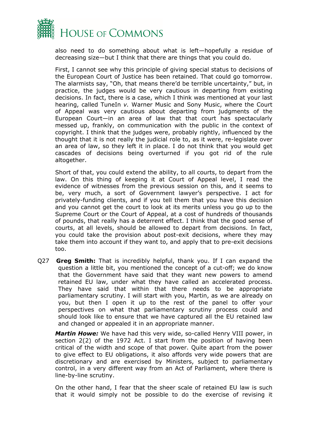

also need to do something about what is left—hopefully a residue of decreasing size—but I think that there are things that you could do.

First, I cannot see why this principle of giving special status to decisions of the European Court of Justice has been retained. That could go tomorrow. The alarmists say, "Oh, that means there'd be terrible uncertainty," but, in practice, the judges would be very cautious in departing from existing decisions. In fact, there is a case, which I think was mentioned at your last hearing, called TuneIn *v.* Warner Music and Sony Music, where the Court of Appeal was very cautious about departing from judgments of the European Court—in an area of law that that court has spectacularly messed up, frankly, on communication with the public in the context of copyright. I think that the judges were, probably rightly, influenced by the thought that it is not really the judicial role to, as it were, re-legislate over an area of law, so they left it in place. I do not think that you would get cascades of decisions being overturned if you got rid of the rule altogether.

Short of that, you could extend the ability, to all courts, to depart from the law. On this thing of keeping it at Court of Appeal level, I read the evidence of witnesses from the previous session on this, and it seems to be, very much, a sort of Government lawyer's perspective. I act for privately-funding clients, and if you tell them that you have this decision and you cannot get the court to look at its merits unless you go up to the Supreme Court or the Court of Appeal, at a cost of hundreds of thousands of pounds, that really has a deterrent effect. I think that the good sense of courts, at all levels, should be allowed to depart from decisions. In fact, you could take the provision about post-exit decisions, where they may take them into account if they want to, and apply that to pre-exit decisions too.

Q27 **Greg Smith:** That is incredibly helpful, thank you. If I can expand the question a little bit, you mentioned the concept of a cut-off; we do know that the Government have said that they want new powers to amend retained EU law, under what they have called an accelerated process. They have said that within that there needs to be appropriate parliamentary scrutiny. I will start with you, Martin, as we are already on you, but then I open it up to the rest of the panel to offer your perspectives on what that parliamentary scrutiny process could and should look like to ensure that we have captured all the EU retained law and changed or appealed it in an appropriate manner.

*Martin Howe:* We have had this very wide, so-called Henry VIII power, in section 2(2) of the 1972 Act. I start from the position of having been critical of the width and scope of that power. Quite apart from the power to give effect to EU obligations, it also affords very wide powers that are discretionary and are exercised by Ministers, subject to parliamentary control, in a very different way from an Act of Parliament, where there is line-by-line scrutiny.

On the other hand, I fear that the sheer scale of retained EU law is such that it would simply not be possible to do the exercise of revising it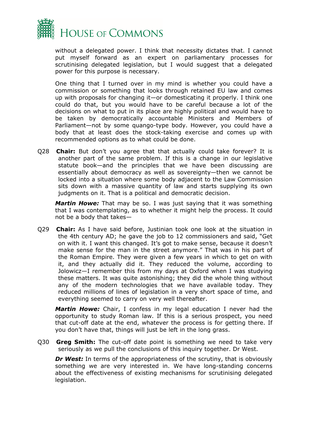

without a delegated power. I think that necessity dictates that. I cannot put myself forward as an expert on parliamentary processes for scrutinising delegated legislation, but I would suggest that a delegated power for this purpose is necessary.

One thing that I turned over in my mind is whether you could have a commission or something that looks through retained EU law and comes up with proposals for changing it—or domesticating it properly. I think one could do that, but you would have to be careful because a lot of the decisions on what to put in its place are highly political and would have to be taken by democratically accountable Ministers and Members of Parliament—not by some quango-type body. However, you could have a body that at least does the stock-taking exercise and comes up with recommended options as to what could be done.

Q28 **Chair:** But don't you agree that that actually could take forever? It is another part of the same problem. If this is a change in our legislative statute book—and the principles that we have been discussing are essentially about democracy as well as sovereignty—then we cannot be locked into a situation where some body adjacent to the Law Commission sits down with a massive quantity of law and starts supplying its own judgments on it. That is a political and democratic decision.

*Martin Howe:* That may be so. I was just saying that it was something that I was contemplating, as to whether it might help the process. It could not be a body that takes—

Q29 **Chair:** As I have said before, Justinian took one look at the situation in the 4th century AD; he gave the job to 12 commissioners and said, "Get on with it. I want this changed. It's got to make sense, because it doesn't make sense for the man in the street anymore." That was in his part of the Roman Empire. They were given a few years in which to get on with it, and they actually did it. They reduced the volume, according to Jolowicz—I remember this from my days at Oxford when I was studying these matters. It was quite astonishing; they did the whole thing without any of the modern technologies that we have available today. They reduced millions of lines of legislation in a very short space of time, and everything seemed to carry on very well thereafter.

*Martin Howe:* Chair, I confess in my legal education I never had the opportunity to study Roman law. If this is a serious prospect, you need that cut-off date at the end, whatever the process is for getting there. If you don't have that, things will just be left in the long grass.

Q30 **Greg Smith:** The cut-off date point is something we need to take very seriously as we pull the conclusions of this inquiry together. Dr West.

*Dr* West: In terms of the appropriateness of the scrutiny, that is obviously something we are very interested in. We have long-standing concerns about the effectiveness of existing mechanisms for scrutinising delegated legislation.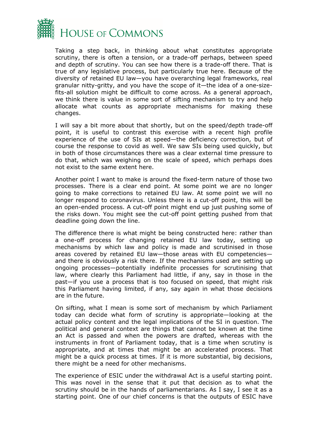

Taking a step back, in thinking about what constitutes appropriate scrutiny, there is often a tension, or a trade-off perhaps, between speed and depth of scrutiny. You can see how there is a trade-off there. That is true of any legislative process, but particularly true here. Because of the diversity of retained EU law—you have overarching legal frameworks, real granular nitty-gritty, and you have the scope of it—the idea of a one-sizefits-all solution might be difficult to come across. As a general approach, we think there is value in some sort of sifting mechanism to try and help allocate what counts as appropriate mechanisms for making these changes.

I will say a bit more about that shortly, but on the speed/depth trade-off point, it is useful to contrast this exercise with a recent high profile experience of the use of SIs at speed—the deficiency correction, but of course the response to covid as well. We saw SIs being used quickly, but in both of those circumstances there was a clear external time pressure to do that, which was weighing on the scale of speed, which perhaps does not exist to the same extent here.

Another point I want to make is around the fixed-term nature of those two processes. There is a clear end point. At some point we are no longer going to make corrections to retained EU law. At some point we will no longer respond to coronavirus. Unless there is a cut-off point, this will be an open-ended process. A cut-off point might end up just pushing some of the risks down. You might see the cut-off point getting pushed from that deadline going down the line.

The difference there is what might be being constructed here: rather than a one-off process for changing retained EU law today, setting up mechanisms by which law and policy is made and scrutinised in those areas covered by retained EU law—those areas with EU competencies and there is obviously a risk there. If the mechanisms used are setting up ongoing processes—potentially indefinite processes for scrutinising that law, where clearly this Parliament had little, if any, say in those in the past—if you use a process that is too focused on speed, that might risk this Parliament having limited, if any, say again in what those decisions are in the future.

On sifting, what I mean is some sort of mechanism by which Parliament today can decide what form of scrutiny is appropriate—looking at the actual policy content and the legal implications of the SI in question. The political and general context are things that cannot be known at the time an Act is passed and when the powers are drafted, whereas with the instruments in front of Parliament today, that is a time when scrutiny is appropriate, and at times that might be an accelerated process. That might be a quick process at times. If it is more substantial, big decisions, there might be a need for other mechanisms.

The experience of ESIC under the withdrawal Act is a useful starting point. This was novel in the sense that it put that decision as to what the scrutiny should be in the hands of parliamentarians. As I say, I see it as a starting point. One of our chief concerns is that the outputs of ESIC have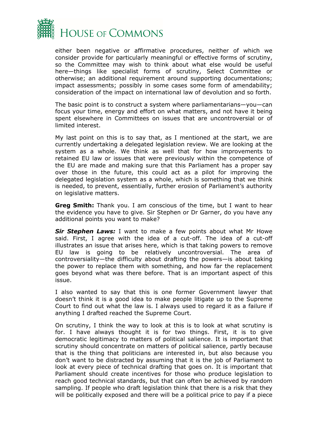

either been negative or affirmative procedures, neither of which we consider provide for particularly meaningful or effective forms of scrutiny, so the Committee may wish to think about what else would be useful here—things like specialist forms of scrutiny, Select Committee or otherwise; an additional requirement around supporting documentations; impact assessments; possibly in some cases some form of amendability; consideration of the impact on international law of devolution and so forth.

The basic point is to construct a system where parliamentarians—you—can focus your time, energy and effort on what matters, and not have it being spent elsewhere in Committees on issues that are uncontroversial or of limited interest.

My last point on this is to say that, as I mentioned at the start, we are currently undertaking a delegated legislation review. We are looking at the system as a whole. We think as well that for how improvements to retained EU law or issues that were previously within the competence of the EU are made and making sure that this Parliament has a proper say over those in the future, this could act as a pilot for improving the delegated legislation system as a whole, which is something that we think is needed, to prevent, essentially, further erosion of Parliament's authority on legislative matters.

**Greg Smith:** Thank you. I am conscious of the time, but I want to hear the evidence you have to give. Sir Stephen or Dr Garner, do you have any additional points you want to make?

*Sir Stephen Laws:* I want to make a few points about what Mr Howe said. First, I agree with the idea of a cut-off. The idea of a cut-off illustrates an issue that arises here, which is that taking powers to remove EU law is going to be relatively uncontroversial. The area of controversiality—the difficulty about drafting the powers—is about taking the power to replace them with something, and how far the replacement goes beyond what was there before. That is an important aspect of this issue.

I also wanted to say that this is one former Government lawyer that doesn't think it is a good idea to make people litigate up to the Supreme Court to find out what the law is. I always used to regard it as a failure if anything I drafted reached the Supreme Court.

On scrutiny, I think the way to look at this is to look at what scrutiny is for. I have always thought it is for two things. First, it is to give democratic legitimacy to matters of political salience. It is important that scrutiny should concentrate on matters of political salience, partly because that is the thing that politicians are interested in, but also because you don't want to be distracted by assuming that it is the job of Parliament to look at every piece of technical drafting that goes on. It is important that Parliament should create incentives for those who produce legislation to reach good technical standards, but that can often be achieved by random sampling. If people who draft legislation think that there is a risk that they will be politically exposed and there will be a political price to pay if a piece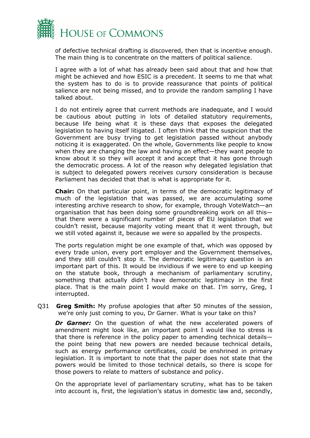

of defective technical drafting is discovered, then that is incentive enough. The main thing is to concentrate on the matters of political salience.

I agree with a lot of what has already been said about that and how that might be achieved and how ESIC is a precedent. It seems to me that what the system has to do is to provide reassurance that points of political salience are not being missed, and to provide the random sampling I have talked about.

I do not entirely agree that current methods are inadequate, and I would be cautious about putting in lots of detailed statutory requirements, because life being what it is these days that exposes the delegated legislation to having itself litigated. I often think that the suspicion that the Government are busy trying to get legislation passed without anybody noticing it is exaggerated. On the whole, Governments like people to know when they are changing the law and having an effect—they want people to know about it so they will accept it and accept that it has gone through the democratic process. A lot of the reason why delegated legislation that is subject to delegated powers receives cursory consideration is because Parliament has decided that that is what is appropriate for it.

**Chair:** On that particular point, in terms of the democratic legitimacy of much of the legislation that was passed, we are accumulating some interesting archive research to show, for example, through VoteWatch—an organisation that has been doing some groundbreaking work on all this that there were a significant number of pieces of EU legislation that we couldn't resist, because majority voting meant that it went through, but we still voted against it, because we were so appalled by the prospects.

The ports regulation might be one example of that, which was opposed by every trade union, every port employer and the Government themselves, and they still couldn't stop it. The democratic legitimacy question is an important part of this. It would be invidious if we were to end up keeping on the statute book, through a mechanism of parliamentary scrutiny, something that actually didn't have democratic legitimacy in the first place. That is the main point I would make on that. I'm sorry, Greg, I interrupted.

Q31 **Greg Smith:** My profuse apologies that after 50 minutes of the session, we're only just coming to you, Dr Garner. What is your take on this?

*Dr Garner:* On the question of what the new accelerated powers of amendment might look like, an important point I would like to stress is that there is reference in the policy paper to amending technical details the point being that new powers are needed because technical details, such as energy performance certificates, could be enshrined in primary legislation. It is important to note that the paper does not state that the powers would be limited to those technical details, so there is scope for those powers to relate to matters of substance and policy.

On the appropriate level of parliamentary scrutiny, what has to be taken into account is, first, the legislation's status in domestic law and, secondly,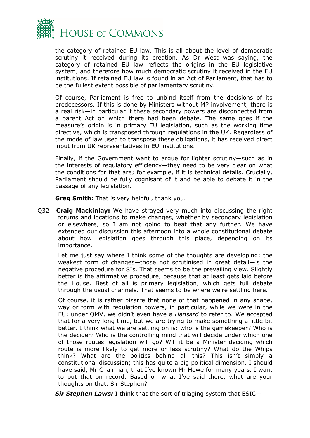

the category of retained EU law. This is all about the level of democratic scrutiny it received during its creation. As Dr West was saying, the category of retained EU law reflects the origins in the EU legislative system, and therefore how much democratic scrutiny it received in the EU institutions. If retained EU law is found in an Act of Parliament, that has to be the fullest extent possible of parliamentary scrutiny.

Of course, Parliament is free to unbind itself from the decisions of its predecessors. If this is done by Ministers without MP involvement, there is a real risk—in particular if these secondary powers are disconnected from a parent Act on which there had been debate. The same goes if the measure's origin is in primary EU legislation, such as the working time directive, which is transposed through regulations in the UK. Regardless of the mode of law used to transpose these obligations, it has received direct input from UK representatives in EU institutions.

Finally, if the Government want to argue for lighter scrutiny—such as in the interests of regulatory efficiency—they need to be very clear on what the conditions for that are; for example, if it is technical details. Crucially, Parliament should be fully cognisant of it and be able to debate it in the passage of any legislation.

**Greg Smith:** That is very helpful, thank you.

Q32 **Craig Mackinlay:** We have strayed very much into discussing the right forums and locations to make changes, whether by secondary legislation or elsewhere, so I am not going to beat that any further. We have extended our discussion this afternoon into a whole constitutional debate about how legislation goes through this place, depending on its importance.

Let me just say where I think some of the thoughts are developing: the weakest form of changes—those not scrutinised in great detail—is the negative procedure for SIs. That seems to be the prevailing view. Slightly better is the affirmative procedure, because that at least gets laid before the House. Best of all is primary legislation, which gets full debate through the usual channels. That seems to be where we're settling here.

Of course, it is rather bizarre that none of that happened in any shape, way or form with regulation powers, in particular, while we were in the EU; under QMV, we didn't even have a *Hansard* to refer to. We accepted that for a very long time, but we are trying to make something a little bit better. I think what we are settling on is: who is the gamekeeper? Who is the decider? Who is the controlling mind that will decide under which one of those routes legislation will go? Will it be a Minister deciding which route is more likely to get more or less scrutiny? What do the Whips think? What are the politics behind all this? This isn't simply a constitutional discussion; this has quite a big political dimension. I should have said, Mr Chairman, that I've known Mr Howe for many years. I want to put that on record. Based on what I've said there, what are your thoughts on that, Sir Stephen?

*Sir Stephen Laws:* I think that the sort of triaging system that ESIC—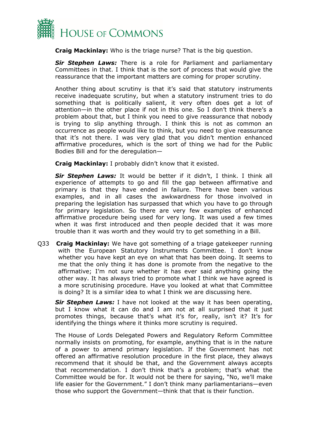

**Craig Mackinlay:** Who is the triage nurse? That is the big question.

*Sir Stephen Laws:* There is a role for Parliament and parliamentary Committees in that. I think that is the sort of process that would give the reassurance that the important matters are coming for proper scrutiny.

Another thing about scrutiny is that it's said that statutory instruments receive inadequate scrutiny, but when a statutory instrument tries to do something that is politically salient, it very often does get a lot of attention—in the other place if not in this one. So I don't think there's a problem about that, but I think you need to give reassurance that nobody is trying to slip anything through. I think this is not as common an occurrence as people would like to think, but you need to give reassurance that it's not there. I was very glad that you didn't mention enhanced affirmative procedures, which is the sort of thing we had for the Public Bodies Bill and for the deregulation—

**Craig Mackinlay:** I probably didn't know that it existed.

*Sir Stephen Laws:* It would be better if it didn't, I think. I think all experience of attempts to go and fill the gap between affirmative and primary is that they have ended in failure. There have been various examples, and in all cases the awkwardness for those involved in preparing the legislation has surpassed that which you have to go through for primary legislation. So there are very few examples of enhanced affirmative procedure being used for very long. It was used a few times when it was first introduced and then people decided that it was more trouble than it was worth and they would try to get something in a Bill.

Q33 **Craig Mackinlay:** We have got something of a triage gatekeeper running with the European Statutory Instruments Committee. I don't know whether you have kept an eye on what that has been doing. It seems to me that the only thing it has done is promote from the negative to the affirmative; I'm not sure whether it has ever said anything going the other way. It has always tried to promote what I think we have agreed is a more scrutinising procedure. Have you looked at what that Committee is doing? It is a similar idea to what I think we are discussing here.

*Sir Stephen Laws:* I have not looked at the way it has been operating, but I know what it can do and I am not at all surprised that it just promotes things, because that's what it's for, really, isn't it? It's for identifying the things where it thinks more scrutiny is required.

The House of Lords Delegated Powers and Regulatory Reform Committee normally insists on promoting, for example, anything that is in the nature of a power to amend primary legislation. If the Government has not offered an affirmative resolution procedure in the first place, they always recommend that it should be that, and the Government always accepts that recommendation. I don't think that's a problem; that's what the Committee would be for. It would not be there for saying, "No, we'll make life easier for the Government." I don't think many parliamentarians—even those who support the Government—think that that is their function.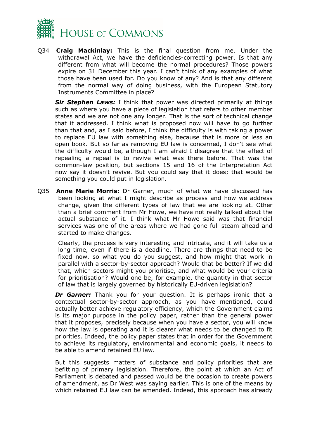

Q34 **Craig Mackinlay:** This is the final question from me. Under the withdrawal Act, we have the deficiencies-correcting power. Is that any different from what will become the normal procedures? Those powers expire on 31 December this year. I can't think of any examples of what those have been used for. Do you know of any? And is that any different from the normal way of doing business, with the European Statutory Instruments Committee in place?

*Sir Stephen Laws:* I think that power was directed primarily at things such as where you have a piece of legislation that refers to other member states and we are not one any longer. That is the sort of technical change that it addressed. I think what is proposed now will have to go further than that and, as I said before, I think the difficulty is with taking a power to replace EU law with something else, because that is more or less an open book. But so far as removing EU law is concerned, I don't see what the difficulty would be, although I am afraid I disagree that the effect of repealing a repeal is to revive what was there before. That was the common-law position, but sections 15 and 16 of the Interpretation Act now say it doesn't revive. But you could say that it does; that would be something you could put in legislation.

Q35 **Anne Marie Morris:** Dr Garner, much of what we have discussed has been looking at what I might describe as process and how we address change, given the different types of law that we are looking at. Other than a brief comment from Mr Howe, we have not really talked about the actual substance of it. I think what Mr Howe said was that financial services was one of the areas where we had gone full steam ahead and started to make changes.

Clearly, the process is very interesting and intricate, and it will take us a long time, even if there is a deadline. There are things that need to be fixed now, so what you do you suggest, and how might that work in parallel with a sector-by-sector approach? Would that be better? If we did that, which sectors might you prioritise, and what would be your criteria for prioritisation? Would one be, for example, the quantity in that sector of law that is largely governed by historically EU-driven legislation?

**Dr Garner:** Thank you for your question. It is perhaps ironic that a contextual sector-by-sector approach, as you have mentioned, could actually better achieve regulatory efficiency, which the Government claims is its major purpose in the policy paper, rather than the general power that it proposes, precisely because when you have a sector, you will know how the law is operating and it is clearer what needs to be changed to fit priorities. Indeed, the policy paper states that in order for the Government to achieve its regulatory, environmental and economic goals, it needs to be able to amend retained EU law.

But this suggests matters of substance and policy priorities that are befitting of primary legislation. Therefore, the point at which an Act of Parliament is debated and passed would be the occasion to create powers of amendment, as Dr West was saying earlier. This is one of the means by which retained EU law can be amended. Indeed, this approach has already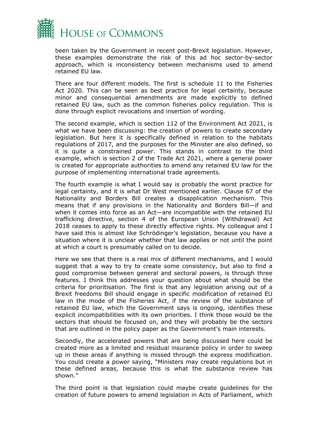

been taken by the Government in recent post-Brexit legislation. However, these examples demonstrate the risk of this ad hoc sector-by-sector approach, which is inconsistency between mechanisms used to amend retained EU law.

There are four different models. The first is schedule 11 to the Fisheries Act 2020. This can be seen as best practice for legal certainty, because minor and consequential amendments are made explicitly to defined retained EU law, such as the common fisheries policy regulation. This is done through explicit revocations and insertion of wording.

The second example, which is section 112 of the Environment Act 2021, is what we have been discussing: the creation of powers to create secondary legislation. But here it is specifically defined in relation to the habitats regulations of 2017, and the purposes for the Minister are also defined, so it is quite a constrained power. This stands in contrast to the third example, which is section 2 of the Trade Act 2021, where a general power is created for appropriate authorities to amend any retained EU law for the purpose of implementing international trade agreements.

The fourth example is what I would say is probably the worst practice for legal certainty, and it is what Dr West mentioned earlier. Clause 67 of the Nationality and Borders Bill creates a disapplication mechanism. This means that if any provisions in the Nationality and Borders Bill—if and when it comes into force as an Act—are incompatible with the retained EU trafficking directive, section 4 of the European Union (Withdrawal) Act 2018 ceases to apply to these directly effective rights. My colleague and I have said this is almost like Schrödinger's legislation, because you have a situation where it is unclear whether that law applies or not until the point at which a court is presumably called on to decide.

Here we see that there is a real mix of different mechanisms, and I would suggest that a way to try to create some consistency, but also to find a good compromise between general and sectoral powers, is through three features. I think this addresses your question about what should be the criteria for prioritisation. The first is that any legislation arising out of a Brexit freedoms Bill should engage in specific modification of retained EU law in the mode of the Fisheries Act, if the review of the substance of retained EU law, which the Government says is ongoing, identifies these explicit incompatibilities with its own priorities. I think those would be the sectors that should be focused on, and they will probably be the sectors that are outlined in the policy paper as the Government's main interests.

Secondly, the accelerated powers that are being discussed here could be created more as a limited and residual insurance policy in order to sweep up in these areas if anything is missed through the express modification. You could create a power saying, "Ministers may create regulations but in these defined areas, because this is what the substance review has shown."

The third point is that legislation could maybe create guidelines for the creation of future powers to amend legislation in Acts of Parliament, which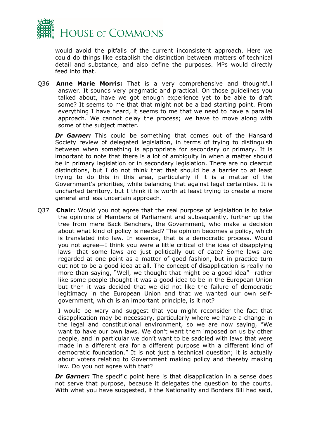

would avoid the pitfalls of the current inconsistent approach. Here we could do things like establish the distinction between matters of technical detail and substance, and also define the purposes. MPs would directly feed into that.

Q36 **Anne Marie Morris:** That is a very comprehensive and thoughtful answer. It sounds very pragmatic and practical. On those guidelines you talked about, have we got enough experience yet to be able to draft some? It seems to me that that might not be a bad starting point. From everything I have heard, it seems to me that we need to have a parallel approach. We cannot delay the process; we have to move along with some of the subject matter.

*Dr Garner:* This could be something that comes out of the Hansard Society review of delegated legislation, in terms of trying to distinguish between when something is appropriate for secondary or primary. It is important to note that there is a lot of ambiguity in when a matter should be in primary legislation or in secondary legislation. There are no clearcut distinctions, but I do not think that that should be a barrier to at least trying to do this in this area, particularly if it is a matter of the Government's priorities, while balancing that against legal certainties. It is uncharted territory, but I think it is worth at least trying to create a more general and less uncertain approach.

Q37 **Chair:** Would you not agree that the real purpose of legislation is to take the opinions of Members of Parliament and subsequently, further up the tree from mere Back Benchers, the Government, who make a decision about what kind of policy is needed? The opinion becomes a policy, which is translated into law. In essence, that is a democratic process. Would you not agree—I think you were a little critical of the idea of disapplying laws—that some laws are just politically out of date? Some laws are regarded at one point as a matter of good fashion, but in practice turn out not to be a good idea at all. The concept of disapplication is really no more than saying, "Well, we thought that might be a good idea"—rather like some people thought it was a good idea to be in the European Union but then it was decided that we did not like the failure of democratic legitimacy in the European Union and that we wanted our own selfgovernment, which is an important principle, is it not?

I would be wary and suggest that you might reconsider the fact that disapplication may be necessary, particularly where we have a change in the legal and constitutional environment, so we are now saying, "We want to have our own laws. We don't want them imposed on us by other people, and in particular we don't want to be saddled with laws that were made in a different era for a different purpose with a different kind of democratic foundation." It is not just a technical question; it is actually about voters relating to Government making policy and thereby making law. Do you not agree with that?

*Dr Garner:* The specific point here is that disapplication in a sense does not serve that purpose, because it delegates the question to the courts. With what you have suggested, if the Nationality and Borders Bill had said,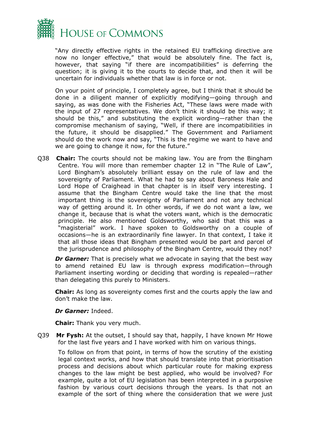

"Any directly effective rights in the retained EU trafficking directive are now no longer effective," that would be absolutely fine. The fact is, however, that saying "if there are incompatibilities" is deferring the question; it is giving it to the courts to decide that, and then it will be uncertain for individuals whether that law is in force or not.

On your point of principle, I completely agree, but I think that it should be done in a diligent manner of explicitly modifying—going through and saying, as was done with the Fisheries Act, "These laws were made with the input of 27 representatives. We don't think it should be this way; it should be this," and substituting the explicit wording—rather than the compromise mechanism of saying, "Well, if there are incompatibilities in the future, it should be disapplied." The Government and Parliament should do the work now and say, "This is the regime we want to have and we are going to change it now, for the future."

Q38 **Chair:** The courts should not be making law. You are from the Bingham Centre. You will more than remember chapter 12 in "The Rule of Law", Lord Bingham's absolutely brilliant essay on the rule of law and the sovereignty of Parliament. What he had to say about Baroness Hale and Lord Hope of Craighead in that chapter is in itself very interesting. I assume that the Bingham Centre would take the line that the most important thing is the sovereignty of Parliament and not any technical way of getting around it. In other words, if we do not want a law, we change it, because that is what the voters want, which is the democratic principle. He also mentioned Goldsworthy, who said that this was a "magisterial" work. I have spoken to Goldsworthy on a couple of occasions—he is an extraordinarily fine lawyer. In that context, I take it that all those ideas that Bingham presented would be part and parcel of the jurisprudence and philosophy of the Bingham Centre, would they not?

*Dr Garner:* That is precisely what we advocate in saying that the best way to amend retained EU law is through express modification—through Parliament inserting wording or deciding that wording is repealed—rather than delegating this purely to Ministers.

**Chair:** As long as sovereignty comes first and the courts apply the law and don't make the law.

#### *Dr Garner:* Indeed.

**Chair:** Thank you very much.

Q39 **Mr Fysh:** At the outset, I should say that, happily, I have known Mr Howe for the last five years and I have worked with him on various things.

To follow on from that point, in terms of how the scrutiny of the existing legal context works, and how that should translate into that prioritisation process and decisions about which particular route for making express changes to the law might be best applied, who would be involved? For example, quite a lot of EU legislation has been interpreted in a purposive fashion by various court decisions through the years. Is that not an example of the sort of thing where the consideration that we were just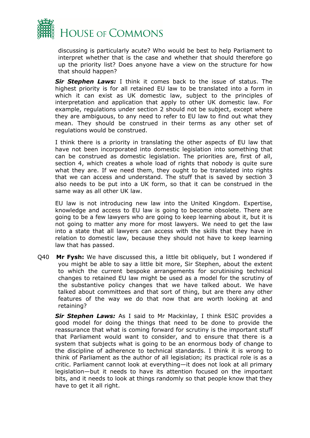

discussing is particularly acute? Who would be best to help Parliament to interpret whether that is the case and whether that should therefore go up the priority list? Does anyone have a view on the structure for how that should happen?

*Sir Stephen Laws:* I think it comes back to the issue of status. The highest priority is for all retained EU law to be translated into a form in which it can exist as UK domestic law, subject to the principles of interpretation and application that apply to other UK domestic law. For example, regulations under section 2 should not be subject, except where they are ambiguous, to any need to refer to EU law to find out what they mean. They should be construed in their terms as any other set of regulations would be construed.

I think there is a priority in translating the other aspects of EU law that have not been incorporated into domestic legislation into something that can be construed as domestic legislation. The priorities are, first of all, section 4, which creates a whole load of rights that nobody is quite sure what they are. If we need them, they ought to be translated into rights that we can access and understand. The stuff that is saved by section 3 also needs to be put into a UK form, so that it can be construed in the same way as all other UK law.

EU law is not introducing new law into the United Kingdom. Expertise, knowledge and access to EU law is going to become obsolete. There are going to be a few lawyers who are going to keep learning about it, but it is not going to matter any more for most lawyers. We need to get the law into a state that all lawyers can access with the skills that they have in relation to domestic law, because they should not have to keep learning law that has passed.

Q40 **Mr Fysh:** We have discussed this, a little bit obliquely, but I wondered if you might be able to say a little bit more, Sir Stephen, about the extent to which the current bespoke arrangements for scrutinising technical changes to retained EU law might be used as a model for the scrutiny of the substantive policy changes that we have talked about. We have talked about committees and that sort of thing, but are there any other features of the way we do that now that are worth looking at and retaining?

*Sir Stephen Laws:* As I said to Mr Mackinlay, I think ESIC provides a good model for doing the things that need to be done to provide the reassurance that what is coming forward for scrutiny is the important stuff that Parliament would want to consider, and to ensure that there is a system that subjects what is going to be an enormous body of change to the discipline of adherence to technical standards. I think it is wrong to think of Parliament as the author of all legislation; its practical role is as a critic. Parliament cannot look at everything—it does not look at all primary legislation—but it needs to have its attention focused on the important bits, and it needs to look at things randomly so that people know that they have to get it all right.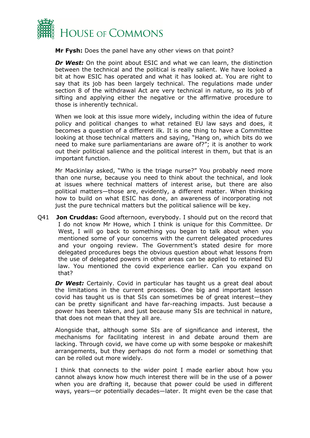

**Mr Fysh:** Does the panel have any other views on that point?

*Dr* West: On the point about ESIC and what we can learn, the distinction between the technical and the political is really salient. We have looked a bit at how ESIC has operated and what it has looked at. You are right to say that its job has been largely technical. The regulations made under section 8 of the withdrawal Act are very technical in nature, so its job of sifting and applying either the negative or the affirmative procedure to those is inherently technical.

When we look at this issue more widely, including within the idea of future policy and political changes to what retained EU law says and does, it becomes a question of a different ilk. It is one thing to have a Committee looking at those technical matters and saying, "Hang on, which bits do we need to make sure parliamentarians are aware of?"; it is another to work out their political salience and the political interest in them, but that is an important function.

Mr Mackinlay asked, "Who is the triage nurse?" You probably need more than one nurse, because you need to think about the technical, and look at issues where technical matters of interest arise, but there are also political matters—those are, evidently, a different matter. When thinking how to build on what ESIC has done, an awareness of incorporating not just the pure technical matters but the political salience will be key.

Q41 **Jon Cruddas:** Good afternoon, everybody. I should put on the record that I do not know Mr Howe, which I think is unique for this Committee. Dr West, I will go back to something you began to talk about when you mentioned some of your concerns with the current delegated procedures and your ongoing review. The Government's stated desire for more delegated procedures begs the obvious question about what lessons from the use of delegated powers in other areas can be applied to retained EU law. You mentioned the covid experience earlier. Can you expand on that?

*Dr West:* Certainly. Covid in particular has taught us a great deal about the limitations in the current processes. One big and important lesson covid has taught us is that SIs can sometimes be of great interest—they can be pretty significant and have far-reaching impacts. Just because a power has been taken, and just because many SIs are technical in nature, that does not mean that they all are.

Alongside that, although some SIs are of significance and interest, the mechanisms for facilitating interest in and debate around them are lacking. Through covid, we have come up with some bespoke or makeshift arrangements, but they perhaps do not form a model or something that can be rolled out more widely.

I think that connects to the wider point I made earlier about how you cannot always know how much interest there will be in the use of a power when you are drafting it, because that power could be used in different ways, years—or potentially decades—later. It might even be the case that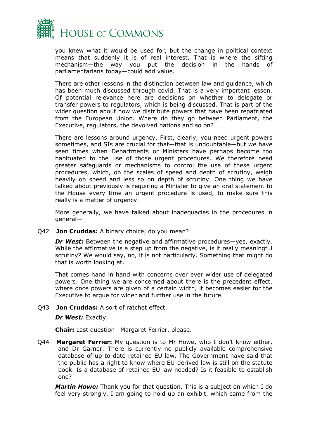

you knew what it would be used for, but the change in political context means that suddenly it is of real interest. That is where the sifting mechanism—the way you put the decision in the hands of parliamentarians today—could add value.

There are other lessons in the distinction between law and guidance, which has been much discussed through covid. That is a very important lesson. Of potential relevance here are decisions on whether to delegate or transfer powers to regulators, which is being discussed. That is part of the wider question about how we distribute powers that have been repatriated from the European Union. Where do they go between Parliament, the Executive, regulators, the devolved nations and so on?

There are lessons around urgency. First, clearly, you need urgent powers sometimes, and SIs are crucial for that—that is undoubtable—but we have seen times when Departments or Ministers have perhaps become too habituated to the use of those urgent procedures. We therefore need greater safeguards or mechanisms to control the use of these urgent procedures, which, on the scales of speed and depth of scrutiny, weigh heavily on speed and less so on depth of scrutiny. One thing we have talked about previously is requiring a Minister to give an oral statement to the House every time an urgent procedure is used, to make sure this really is a matter of urgency.

More generally, we have talked about inadequacies in the procedures in general—

Q42 **Jon Cruddas:** A binary choice, do you mean?

*Dr West:* Between the negative and affirmative procedures—yes, exactly. While the affirmative is a step up from the negative, is it really meaningful scrutiny? We would say, no, it is not particularly. Something that might do that is worth looking at.

That comes hand in hand with concerns over ever wider use of delegated powers. One thing we are concerned about there is the precedent effect, where once powers are given of a certain width, it becomes easier for the Executive to argue for wider and further use in the future.

#### Q43 **Jon Cruddas:** A sort of ratchet effect.

*Dr West:* Exactly.

**Chair:** Last question—Margaret Ferrier, please.

Q44 **Margaret Ferrier:** My question is to Mr Howe, who I don't know either, and Dr Garner. There is currently no publicly available comprehensive database of up-to-date retained EU law. The Government have said that the public has a right to know where EU-derived law is still on the statute book. Is a database of retained EU law needed? Is it feasible to establish one?

*Martin Howe:* Thank you for that question. This is a subject on which I do feel very strongly. I am going to hold up an exhibit, which came from the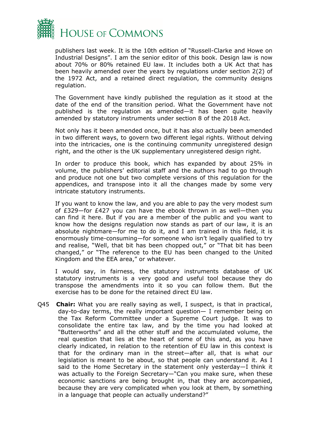

publishers last week. It is the 10th edition of "Russell-Clarke and Howe on Industrial Designs". I am the senior editor of this book. Design law is now about 70% or 80% retained EU law. It includes both a UK Act that has been heavily amended over the years by regulations under section 2(2) of the 1972 Act, and a retained direct regulation, the community designs regulation.

The Government have kindly published the regulation as it stood at the date of the end of the transition period. What the Government have not published is the regulation as amended—it has been quite heavily amended by statutory instruments under section 8 of the 2018 Act.

Not only has it been amended once, but it has also actually been amended in two different ways, to govern two different legal rights. Without delving into the intricacies, one is the continuing community unregistered design right, and the other is the UK supplementary unregistered design right.

In order to produce this book, which has expanded by about 25% in volume, the publishers' editorial staff and the authors had to go through and produce not one but two complete versions of this regulation for the appendices, and transpose into it all the changes made by some very intricate statutory instruments.

If you want to know the law, and you are able to pay the very modest sum of £329—for £427 you can have the ebook thrown in as well—then you can find it here. But if you are a member of the public and you want to know how the designs regulation now stands as part of our law, it is an absolute nightmare—for me to do it, and I am trained in this field, it is enormously time-consuming—for someone who isn't legally qualified to try and realise, "Well, that bit has been chopped out," or "That bit has been changed," or "The reference to the EU has been changed to the United Kingdom and the EEA area," or whatever.

I would say, in fairness, the statutory instruments database of UK statutory instruments is a very good and useful tool because they do transpose the amendments into it so you can follow them. But the exercise has to be done for the retained direct EU law.

Q45 **Chair:** What you are really saying as well, I suspect, is that in practical, day-to-day terms, the really important question— I remember being on the Tax Reform Committee under a Supreme Court judge. It was to consolidate the entire tax law, and by the time you had looked at "Butterworths" and all the other stuff and the accumulated volume, the real question that lies at the heart of some of this and, as you have clearly indicated, in relation to the retention of EU law in this context is that for the ordinary man in the street—after all, that is what our legislation is meant to be about, so that people can understand it. As I said to the Home Secretary in the statement only yesterday—I think it was actually to the Foreign Secretary—"Can you make sure, when these economic sanctions are being brought in, that they are accompanied, because they are very complicated when you look at them, by something in a language that people can actually understand?"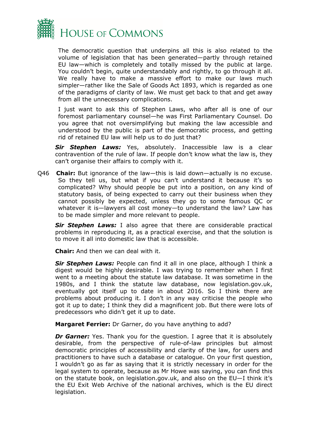

The democratic question that underpins all this is also related to the volume of legislation that has been generated—partly through retained EU law—which is completely and totally missed by the public at large. You couldn't begin, quite understandably and rightly, to go through it all. We really have to make a massive effort to make our laws much simpler—rather like the Sale of Goods Act 1893, which is regarded as one of the paradigms of clarity of law. We must get back to that and get away from all the unnecessary complications.

I just want to ask this of Stephen Laws, who after all is one of our foremost parliamentary counsel—he was First Parliamentary Counsel. Do you agree that not oversimplifying but making the law accessible and understood by the public is part of the democratic process, and getting rid of retained EU law will help us to do just that?

*Sir Stephen Laws:* Yes, absolutely. Inaccessible law is a clear contravention of the rule of law. If people don't know what the law is, they can't organise their affairs to comply with it.

Q46 **Chair:** But ignorance of the law—this is laid down—actually is no excuse. So they tell us, but what if you can't understand it because it's so complicated? Why should people be put into a position, on any kind of statutory basis, of being expected to carry out their business when they cannot possibly be expected, unless they go to some famous QC or whatever it is—lawyers all cost money—to understand the law? Law has to be made simpler and more relevant to people.

*Sir Stephen Laws:* I also agree that there are considerable practical problems in reproducing it, as a practical exercise, and that the solution is to move it all into domestic law that is accessible.

**Chair:** And then we can deal with it.

*Sir Stephen Laws:* People can find it all in one place, although I think a digest would be highly desirable. I was trying to remember when I first went to a meeting about the statute law database. It was sometime in the 1980s, and I think the statute law database, now legislation.gov.uk, eventually got itself up to date in about 2016. So I think there are problems about producing it. I don't in any way criticise the people who got it up to date; I think they did a magnificent job. But there were lots of predecessors who didn't get it up to date.

**Margaret Ferrier:** Dr Garner, do you have anything to add?

*Dr Garner:* Yes. Thank you for the question. I agree that it is absolutely desirable, from the perspective of rule-of-law principles but almost democratic principles of accessibility and clarity of the law, for users and practitioners to have such a database or catalogue. On your first question, I wouldn't go as far as saying that it is strictly necessary in order for the legal system to operate, because as Mr Howe was saying, you can find this on the statute book, on legislation.gov.uk, and also on the EU—I think it's the EU Exit Web Archive of the national archives, which is the EU direct legislation.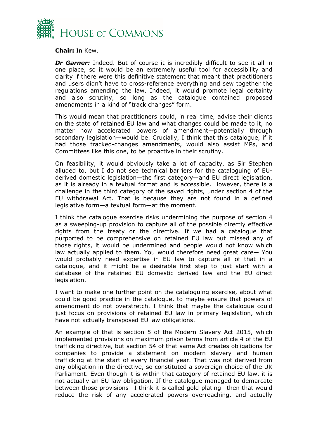

**Chair:** In Kew.

**Dr Garner:** Indeed. But of course it is incredibly difficult to see it all in one place, so it would be an extremely useful tool for accessibility and clarity if there were this definitive statement that meant that practitioners and users didn't have to cross-reference everything and sew together the regulations amending the law. Indeed, it would promote legal certainty and also scrutiny, so long as the catalogue contained proposed amendments in a kind of "track changes" form.

This would mean that practitioners could, in real time, advise their clients on the state of retained EU law and what changes could be made to it, no matter how accelerated powers of amendment—potentially through secondary legislation—would be. Crucially, I think that this catalogue, if it had those tracked-changes amendments, would also assist MPs, and Committees like this one, to be proactive in their scrutiny.

On feasibility, it would obviously take a lot of capacity, as Sir Stephen alluded to, but I do not see technical barriers for the cataloguing of EUderived domestic legislation—the first category—and EU direct legislation, as it is already in a textual format and is accessible. However, there is a challenge in the third category of the saved rights, under section 4 of the EU withdrawal Act. That is because they are not found in a defined legislative form—a textual form—at the moment.

I think the catalogue exercise risks undermining the purpose of section 4 as a sweeping-up provision to capture all of the possible directly effective rights from the treaty or the directive. If we had a catalogue that purported to be comprehensive on retained EU law but missed any of those rights, it would be undermined and people would not know which law actually applied to them. You would therefore need great care— You would probably need expertise in EU law to capture all of that in a catalogue, and it might be a desirable first step to just start with a database of the retained EU domestic derived law and the EU direct legislation.

I want to make one further point on the cataloguing exercise, about what could be good practice in the catalogue, to maybe ensure that powers of amendment do not overstretch. I think that maybe the catalogue could just focus on provisions of retained EU law in primary legislation, which have not actually transposed EU law obligations.

An example of that is section 5 of the Modern Slavery Act 2015, which implemented provisions on maximum prison terms from article 4 of the EU trafficking directive, but section 54 of that same Act creates obligations for companies to provide a statement on modern slavery and human trafficking at the start of every financial year. That was not derived from any obligation in the directive, so constituted a sovereign choice of the UK Parliament. Even though it is within that category of retained EU law, it is not actually an EU law obligation. If the catalogue managed to demarcate between those provisions—I think it is called gold-plating—then that would reduce the risk of any accelerated powers overreaching, and actually